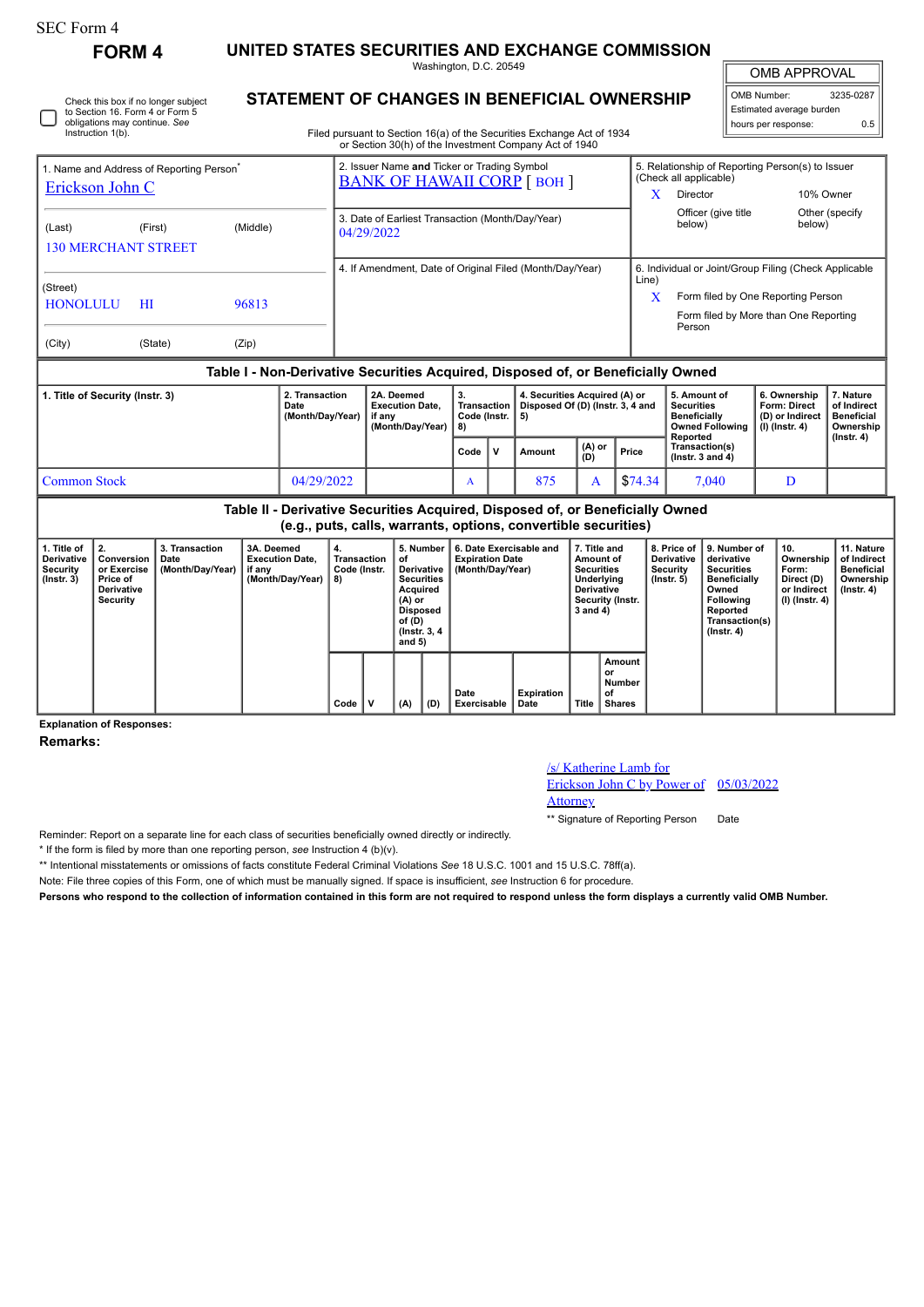| SEC Form 4 |
|------------|
|------------|

**FORM 4 UNITED STATES SECURITIES AND EXCHANGE COMMISSION** Washington, D.C. 20549

OMB APPROVAL

 $\mathbb{I}$ 

| OMB Number:              | 3235-0287 |  |  |  |  |  |  |  |  |
|--------------------------|-----------|--|--|--|--|--|--|--|--|
| Estimated average burden |           |  |  |  |  |  |  |  |  |
| hours per response:      | ሰ 5       |  |  |  |  |  |  |  |  |

**STATEMENT OF CHANGES IN BENEFICIAL OWNERSHIP**

Filed pursuant to Section 16(a) of the Securities Exchange Act of 1934 or Section 30(h) of the Investment Company Act of 1940

| 1. Name and Address of Reporting Person <sup>®</sup> |         |          |                                    | 2. Issuer Name and Ticker or Trading Symbol<br><b>BANK OF HAWAII CORP [BOH ]</b> |                                   |                                                                                  | 5. Relationship of Reporting Person(s) to Issuer<br>(Check all applicable) |                                                                             |                                                 |                                               |  |  |  |
|------------------------------------------------------|---------|----------|------------------------------------|----------------------------------------------------------------------------------|-----------------------------------|----------------------------------------------------------------------------------|----------------------------------------------------------------------------|-----------------------------------------------------------------------------|-------------------------------------------------|-----------------------------------------------|--|--|--|
| Erickson John C                                      |         |          |                                    |                                                                                  |                                   |                                                                                  |                                                                            | <b>Director</b>                                                             | 10% Owner                                       |                                               |  |  |  |
| (Last)<br><b>130 MERCHANT STREET</b>                 | (First) | (Middle) |                                    | 3. Date of Earliest Transaction (Month/Day/Year)<br>04/29/2022                   |                                   |                                                                                  |                                                                            | Officer (give title<br>below)                                               | below)                                          | Other (specify                                |  |  |  |
|                                                      |         |          |                                    |                                                                                  |                                   | 4. If Amendment, Date of Original Filed (Month/Day/Year)                         | 6. Individual or Joint/Group Filing (Check Applicable<br>Line)             |                                                                             |                                                 |                                               |  |  |  |
| (Street)<br><b>HONOLULU</b>                          | HI      | 96813    |                                    |                                                                                  |                                   |                                                                                  | X                                                                          | Form filed by One Reporting Person<br>Form filed by More than One Reporting |                                                 |                                               |  |  |  |
| (City)                                               | (State) | (Zip)    |                                    |                                                                                  |                                   |                                                                                  |                                                                            | Person                                                                      |                                                 |                                               |  |  |  |
|                                                      |         |          |                                    |                                                                                  |                                   | Table I - Non-Derivative Securities Acquired, Disposed of, or Beneficially Owned |                                                                            |                                                                             |                                                 |                                               |  |  |  |
| 1. Title of Security (Instr. 3)<br>Date              |         |          | 2. Transaction<br>(Month/Day/Year) | 2A. Deemed<br><b>Execution Date.</b><br>if any                                   | 3.<br>Transaction<br>Code (Instr. | 4. Securities Acquired (A) or<br>Disposed Of (D) (Instr. 3, 4 and<br>5)          |                                                                            | 5. Amount of<br><b>Securities</b><br><b>Beneficially</b>                    | 6. Ownership<br>Form: Direct<br>(D) or Indirect | 7. Nature<br>of Indirect<br><b>Beneficial</b> |  |  |  |

|                     |            | li dilv<br>│ (Month/Dav/Year) │ | Goue (IIISU, 19)<br>8) |              |        |               |         | <b>Dellelluidilv</b><br>Owned Following   (I) (Instr. 4)<br>Reported | ן <i>ו</i> שטוווען ש | <b>Delleticial</b><br>Ownership<br>(Instr. 4) |
|---------------------|------------|---------------------------------|------------------------|--------------|--------|---------------|---------|----------------------------------------------------------------------|----------------------|-----------------------------------------------|
|                     |            |                                 | Code                   | $\mathbf{v}$ | Amount | (A) or<br>(D) | Price   | Transaction(s)<br>( $lnstr. 3 and 4$ )                               |                      |                                               |
| <b>Common Stock</b> | 04/29/2022 |                                 |                        |              | 875    |               | \$74.34 | 7,040                                                                |                      |                                               |

**Table II - Derivative Securities Acquired, Disposed of, or Beneficially Owned (e.g., puts, calls, warrants, options, convertible securities)**

| 1. Title of<br><b>Derivative</b><br>Security<br>$($ lnstr. 3 $)$ | 2.<br>Conversion<br>or Exercise<br>Price of<br><b>Derivative</b><br>Security | 3. Transaction<br>Date<br>(Month/Day/Year)   if any | 3A. Deemed<br><b>Execution Date,</b><br>(Month/Day/Year) | 4.<br>Transaction<br>Code (Instr.<br>8) |   | 5. Number<br>of<br>Derivative<br><b>Securities</b><br>Acquired<br>$(A)$ or<br>Disposed<br>of (D)<br>(Instr. 3, 4)<br>and 5)<br>(A)<br>(D) |  | 6. Date Exercisable and<br><b>Expiration Date</b><br>(Month/Day/Year) | 7. Title and<br>Amount of<br><b>Securities</b><br>Underlying<br>Derivative<br>Security (Instr.<br>3 and 4) |                                                        | 8. Price of<br><b>Derivative</b><br>Security<br>$($ lnstr. 5 $)$ | 9. Number of<br>derivative<br><b>Securities</b><br><b>Beneficially</b><br>Owned<br><b>Following</b><br>Reported<br>Transaction(s)<br>$($ Instr. 4 $)$ | 10.<br>Ownership<br>Form:<br>Direct (D)<br>or Indirect<br>  (I) (Instr. 4) | 11. Nature<br>of Indirect<br><b>Beneficial</b><br>Ownership<br>$($ lnstr. 4 $)$ |
|------------------------------------------------------------------|------------------------------------------------------------------------------|-----------------------------------------------------|----------------------------------------------------------|-----------------------------------------|---|-------------------------------------------------------------------------------------------------------------------------------------------|--|-----------------------------------------------------------------------|------------------------------------------------------------------------------------------------------------|--------------------------------------------------------|------------------------------------------------------------------|-------------------------------------------------------------------------------------------------------------------------------------------------------|----------------------------------------------------------------------------|---------------------------------------------------------------------------------|
|                                                                  |                                                                              |                                                     |                                                          | Code                                    | ν |                                                                                                                                           |  | <b>Expiration</b><br>Date<br>Exercisable<br>Date                      |                                                                                                            | Amount<br>or<br>Number<br>of<br>Title<br><b>Shares</b> |                                                                  |                                                                                                                                                       |                                                                            |                                                                                 |

**Explanation of Responses:**

**Remarks:**

## /s/ Katherine Lamb for

Erickson John C by Power of 05/03/2022

```
Attorney
```
\*\* Signature of Reporting Person Date

Reminder: Report on a separate line for each class of securities beneficially owned directly or indirectly.

\* If the form is filed by more than one reporting person, *see* Instruction 4 (b)(v).

\*\* Intentional misstatements or omissions of facts constitute Federal Criminal Violations *See* 18 U.S.C. 1001 and 15 U.S.C. 78ff(a).

Note: File three copies of this Form, one of which must be manually signed. If space is insufficient, *see* Instruction 6 for procedure.

**Persons who respond to the collection of information contained in this form are not required to respond unless the form displays a currently valid OMB Number.**

Check this box if no longer subject to Section 16. Form 4 or Form 5 obligations may continue. *See* Instruction 1(b).